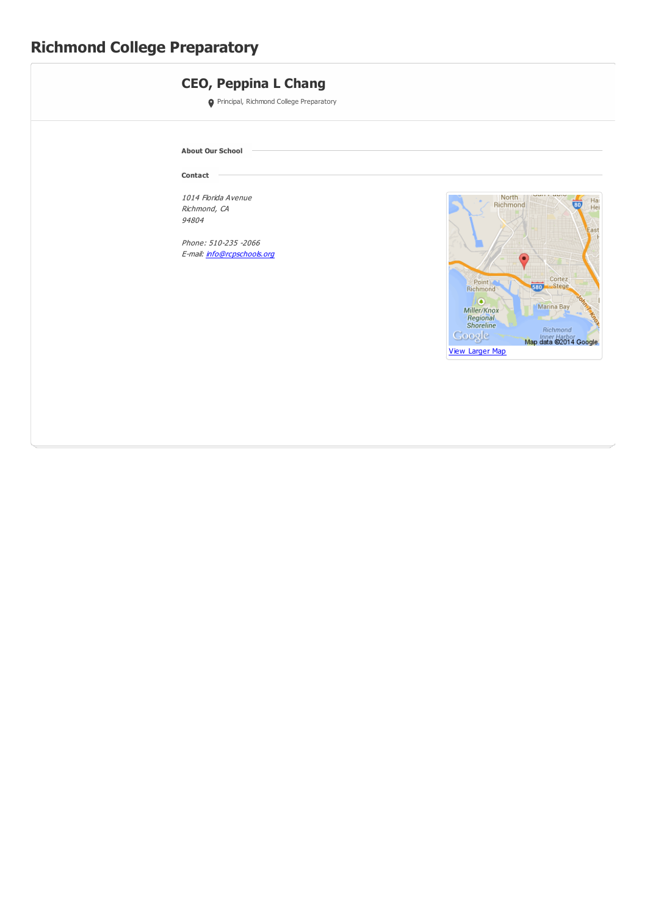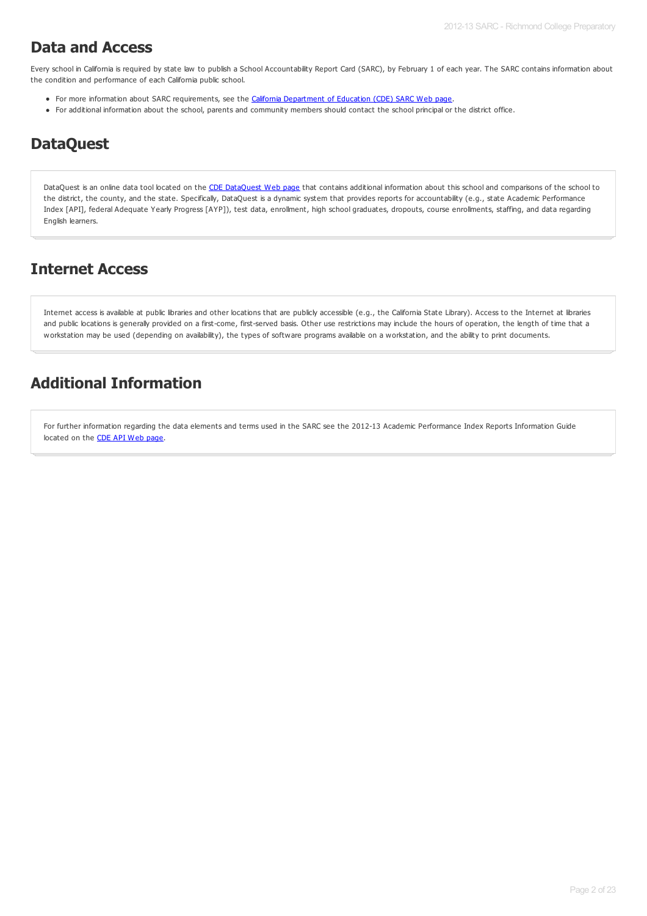### **Data and Access**

Every school in California is required by state law to publish a School Accountability Report Card (SARC), by February 1 of each year. The SARC contains information about the condition and performance of each California public school.

- For more information about SARC requirements, see the California [Department](http://www.cde.ca.gov/ta/ac/sa/) of Education (CDE) SARC Web page.
- For additional information about the school, parents and community members should contact the school principal or the district office.

### **DataQuest**

[DataQuest](http://dq.cde.ca.gov/dataquest/) is an online data tool located on the CDE DataQuest Web page that contains additional information about this school and comparisons of the school to the district, the county, and the state. Specifically, DataQuest is a dynamic system that provides reports for accountability (e.g., state Academic Performance Index [API], federal Adequate Yearly Progress [AYP]), test data, enrollment, high school graduates, dropouts, course enrollments, staffing, and data regarding English learners.

### **Internet Access**

Internet access is available at public libraries and other locations that are publicly accessible (e.g., the California State Library). Access to the Internet at libraries and public locations is generally provided on a first-come, first-served basis. Other use restrictions may include the hours of operation, the length of time that a workstation may be used (depending on availability), the types of software programs available on a workstation, and the ability to print documents.

### **Additional Information**

For further information regarding the data elements and terms used in the SARC see the 2012-13 Academic Performance Index Reports Information Guide located on the CDE API [Web](http://www.cde.ca.gov/ta/ac/ap/) page.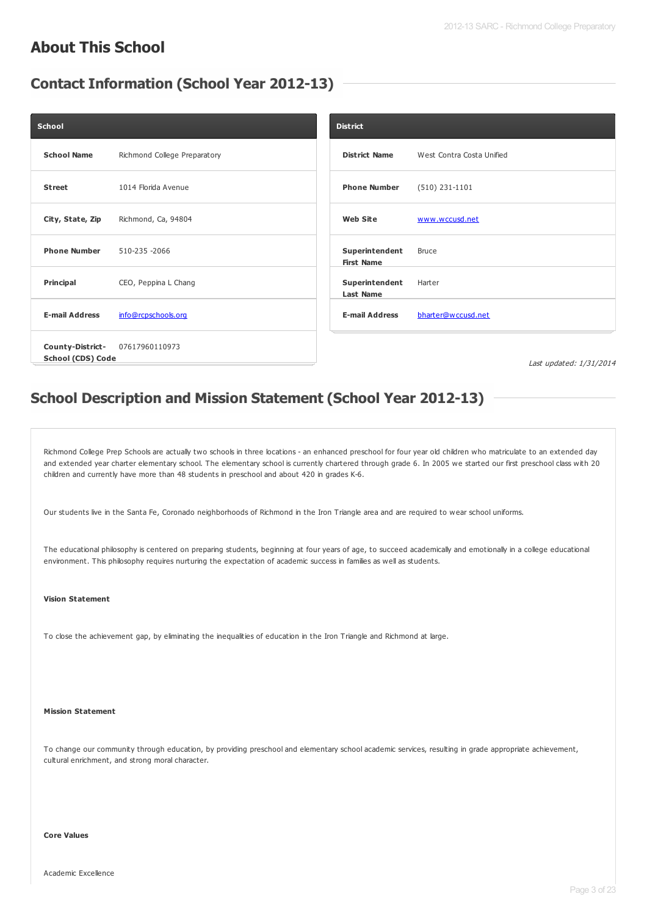#### **About This School**

#### **Contact Information (School Year 2012-13)**

| School                                       |                              | <b>District</b>                     |                           |
|----------------------------------------------|------------------------------|-------------------------------------|---------------------------|
| <b>School Name</b>                           | Richmond College Preparatory | <b>District Name</b>                | West Contra Costa Unified |
| <b>Street</b>                                | 1014 Florida Avenue          | <b>Phone Number</b>                 | $(510)$ 231-1101          |
| City, State, Zip                             | Richmond, Ca, 94804          | <b>Web Site</b>                     | www.wccusd.net            |
| <b>Phone Number</b>                          | 510-235 -2066                | Superintendent<br><b>First Name</b> | <b>Bruce</b>              |
| Principal                                    | CEO, Peppina L Chang         | Superintendent<br><b>Last Name</b>  | Harter                    |
| <b>E-mail Address</b>                        | info@rcpschools.org          | <b>E-mail Address</b>               | bharter@wccusd.net        |
| County-District-<br><b>School (CDS) Code</b> | 07617960110973               |                                     | Last updated: 1/31/2014   |

### **School Description and Mission Statement (School Year 2012-13)**

Richmond College Prep Schools are actually two schools in three locations - an enhanced preschool for four year old children who matriculate to an extended day and extended year charter elementary school. The elementary school is currently chartered through grade 6. In 2005 we started our first preschool class with 20 children and currently have more than 48 students in preschool and about 420 in grades K-6.

Our students live in the Santa Fe, Coronado neighborhoods of Richmond in the Iron Triangle area and are required to wear school uniforms.

The educational philosophy is centered on preparing students, beginning at four years of age, to succeed academically and emotionally in a college educational environment. This philosophy requires nurturing the expectation of academic success in families as well as students.

#### **Vision Statement**

To close the achievement gap, by eliminating the inequalities of education in the Iron Triangle and Richmond at large.

#### **Mission Statement**

To change our community through education, by providing preschool and elementary school academic services, resulting in grade appropriate achievement, cultural enrichment, and strong moral character.

#### **Core Values**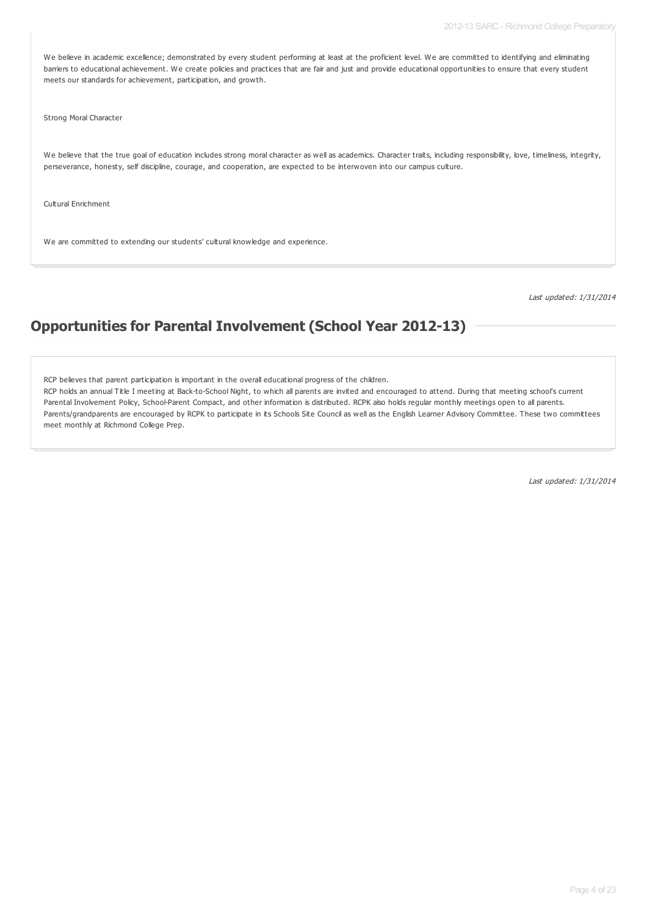We believe in academic excellence; demonstrated by every student performing at least at the proficient level. We are committed to identifying and eliminating barriers to educational achievement. We create policies and practices that are fair and just and provide educational opportunities to ensure that every student meets our standards for achievement, participation, and growth.

Strong Moral Character

We believe that the true goal of education includes strong moral character as well as academics. Character traits, including responsibility, love, timeliness, integrity, perseverance, honesty, self discipline, courage, and cooperation, are expected to be interwoven into our campus culture.

Cultural Enrichment

We are committed to extending our students' cultural knowledge and experience.

Last updated: 1/31/2014

#### **Opportunities for Parental Involvement (School Year 2012-13)**

RCP believes that parent participation is important in the overall educational progress of the children.

RCP holds an annual Title I meeting at Back-to-School Night, to which all parents are invited and encouraged to attend. During that meeting school's current Parental Involvement Policy, School-Parent Compact, and other information is distributed. RCPK also holds regular monthly meetings open to all parents. Parents/grandparents are encouraged by RCPK to participate in its Schools Site Council as well as the English Learner Advisory Committee. These two committees meet monthly at Richmond College Prep.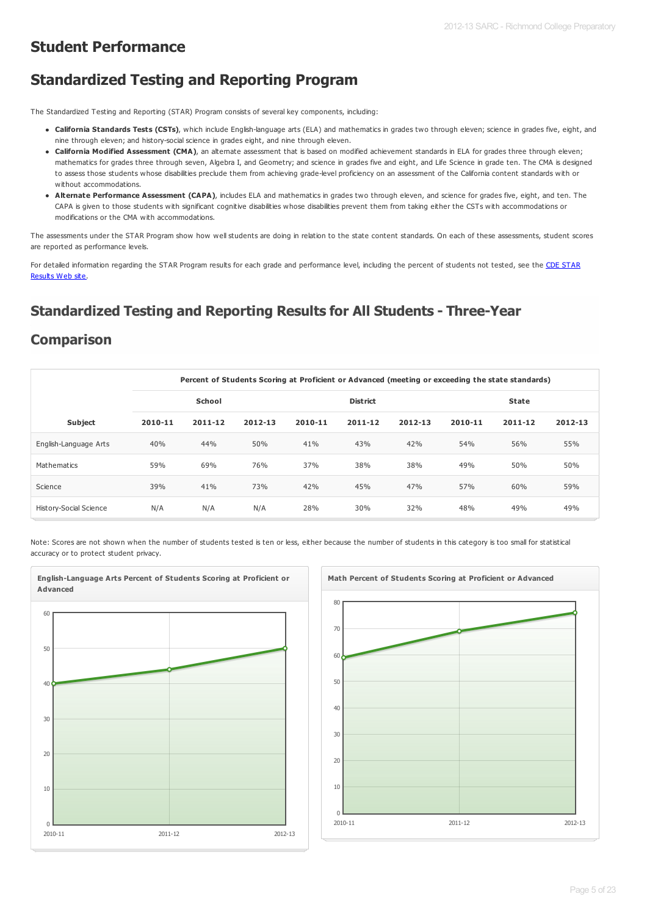### **Student Performance**

### **Standardized Testing and Reporting Program**

The Standardized Testing and Reporting (STAR) Program consists of several key components, including:

- **California Standards Tests (CSTs)**, which include English-language arts (ELA) and mathematics in grades two through eleven; science in grades five, eight, and nine through eleven; and history-social science in grades eight, and nine through eleven.
- **California Modified Assessment (CMA)**, an alternate assessment that is based on modified achievement standards in ELA for grades three through eleven; mathematics for grades three through seven, Algebra I, and Geometry; and science in grades five and eight, and Life Science in grade ten. The CMA is designed to assess those students whose disabilities preclude them from achieving grade-level proficiency on an assessment of the California content standards with or without accommodations.
- **Alternate Performance Assessment (CAPA)**, includes ELA and mathematics in grades two through eleven, and science for grades five, eight, and ten. The CAPA is given to those students with significant cognitive disabilities whose disabilities prevent them from taking either the CSTs with accommodations or modifications or the CMA with accommodations.

The assessments under the STAR Program show how well students are doing in relation to the state content standards. On each of these assessments, student scores are reported as performance levels.

For detailed information regarding the STAR Program results for each grade and [performance](http://star.cde.ca.gov) level, including the percent of students not tested, see the CDE STAR Results Web site.

### **Standardized Testing and Reporting Results for All Students - Three-Year**

#### **Comparison**

|                               |         |               |         |         |                 |             |         | Percent of Students Scoring at Proficient or Advanced (meeting or exceeding the state standards) |         |
|-------------------------------|---------|---------------|---------|---------|-----------------|-------------|---------|--------------------------------------------------------------------------------------------------|---------|
|                               |         | <b>School</b> |         |         | <b>District</b> |             |         | <b>State</b>                                                                                     |         |
| Subject                       | 2010-11 | 2011-12       | 2012-13 | 2010-11 | $2011 - 12$     | $2012 - 13$ | 2010-11 | $2011 - 12$                                                                                      | 2012-13 |
| English-Language Arts         | 40%     | 44%           | 50%     | 41%     | 43%             | 42%         | 54%     | 56%                                                                                              | 55%     |
| Mathematics                   | 59%     | 69%           | 76%     | 37%     | 38%             | 38%         | 49%     | 50%                                                                                              | 50%     |
| Science                       | 39%     | 41%           | 73%     | 42%     | 45%             | 47%         | 57%     | 60%                                                                                              | 59%     |
| <b>History-Social Science</b> | N/A     | N/A           | N/A     | 28%     | 30%             | 32%         | 48%     | 49%                                                                                              | 49%     |

Note: Scores are not shown when the number of students tested is ten or less, either because the number of students in this category is too small for statistical accuracy or to protect student privacy.



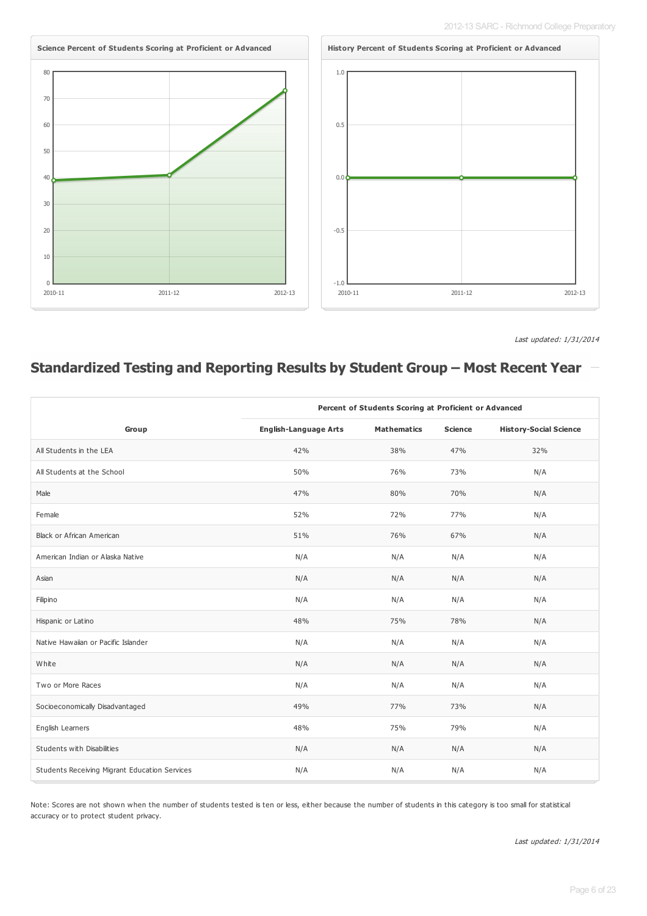

Last updated: 1/31/2014

### **Standardized Testing and Reporting Results by Student Group – Most Recent Year**

|                                               | Percent of Students Scoring at Proficient or Advanced |                    |                |                               |
|-----------------------------------------------|-------------------------------------------------------|--------------------|----------------|-------------------------------|
| Group                                         | <b>English-Language Arts</b>                          | <b>Mathematics</b> | <b>Science</b> | <b>History-Social Science</b> |
| All Students in the LEA                       | 42%                                                   | 38%                | 47%            | 32%                           |
| All Students at the School                    | 50%                                                   | 76%                | 73%            | N/A                           |
| Male                                          | 47%                                                   | 80%                | 70%            | N/A                           |
| Female                                        | 52%                                                   | 72%                | 77%            | N/A                           |
| <b>Black or African American</b>              | 51%                                                   | 76%                | 67%            | N/A                           |
| American Indian or Alaska Native              | N/A                                                   | N/A                | N/A            | N/A                           |
| Asian                                         | N/A                                                   | N/A                | N/A            | N/A                           |
| Filipino                                      | N/A                                                   | N/A                | N/A            | N/A                           |
| Hispanic or Latino                            | 48%                                                   | 75%                | 78%            | N/A                           |
| Native Hawaiian or Pacific Islander           | N/A                                                   | N/A                | N/A            | N/A                           |
| White                                         | N/A                                                   | N/A                | N/A            | N/A                           |
| Two or More Races                             | N/A                                                   | N/A                | N/A            | N/A                           |
| Socioeconomically Disadvantaged               | 49%                                                   | 77%                | 73%            | N/A                           |
| English Learners                              | 48%                                                   | 75%                | 79%            | N/A                           |
| Students with Disabilities                    | N/A                                                   | N/A                | N/A            | N/A                           |
| Students Receiving Migrant Education Services | N/A                                                   | N/A                | N/A            | N/A                           |

Note: Scores are not shown when the number of students tested is ten or less, either because the number of students in this category is too small for statistical accuracy or to protect student privacy.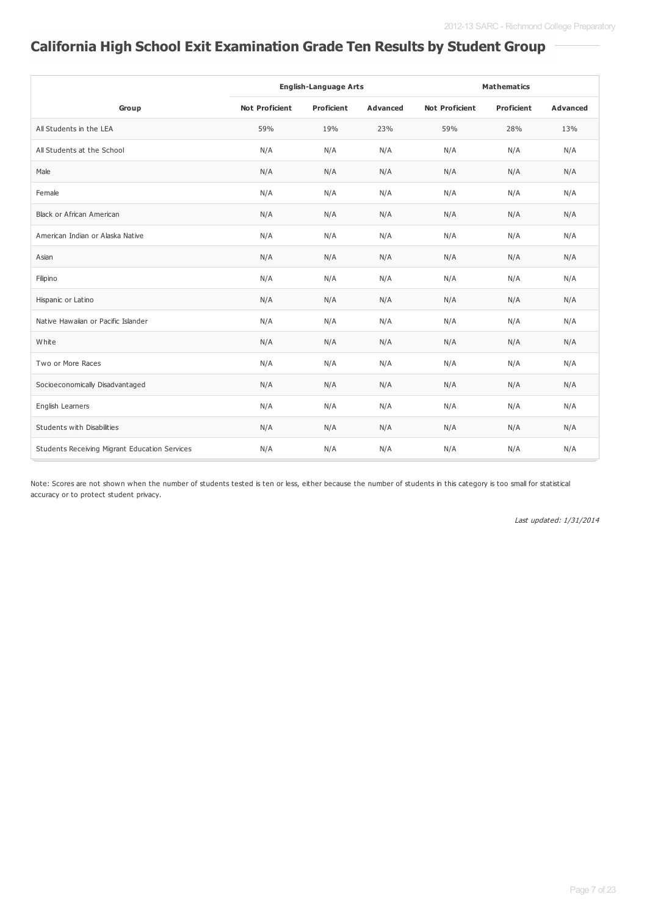# **California High School Exit Examination Grade Ten Results by Student Group**

|                                               | <b>English-Language Arts</b> |                   |          |                       | <b>Mathematics</b> |                 |
|-----------------------------------------------|------------------------------|-------------------|----------|-----------------------|--------------------|-----------------|
| Group                                         | <b>Not Proficient</b>        | <b>Proficient</b> | Advanced | <b>Not Proficient</b> | <b>Proficient</b>  | <b>Advanced</b> |
| All Students in the LEA                       | 59%                          | 19%               | 23%      | 59%                   | 28%                | 13%             |
| All Students at the School                    | N/A                          | N/A               | N/A      | N/A                   | N/A                | N/A             |
| Male                                          | N/A                          | N/A               | N/A      | N/A                   | N/A                | N/A             |
| Female                                        | N/A                          | N/A               | N/A      | N/A                   | N/A                | N/A             |
| Black or African American                     | N/A                          | N/A               | N/A      | N/A                   | N/A                | N/A             |
| American Indian or Alaska Native              | N/A                          | N/A               | N/A      | N/A                   | N/A                | N/A             |
| Asian                                         | N/A                          | N/A               | N/A      | N/A                   | N/A                | N/A             |
| Filipino                                      | N/A                          | N/A               | N/A      | N/A                   | N/A                | N/A             |
| Hispanic or Latino                            | N/A                          | N/A               | N/A      | N/A                   | N/A                | N/A             |
| Native Hawaiian or Pacific Islander           | N/A                          | N/A               | N/A      | N/A                   | N/A                | N/A             |
| White                                         | N/A                          | N/A               | N/A      | N/A                   | N/A                | N/A             |
| Two or More Races                             | N/A                          | N/A               | N/A      | N/A                   | N/A                | N/A             |
| Socioeconomically Disadvantaged               | N/A                          | N/A               | N/A      | N/A                   | N/A                | N/A             |
| English Learners                              | N/A                          | N/A               | N/A      | N/A                   | N/A                | N/A             |
| Students with Disabilities                    | N/A                          | N/A               | N/A      | N/A                   | N/A                | N/A             |
| Students Receiving Migrant Education Services | N/A                          | N/A               | N/A      | N/A                   | N/A                | N/A             |

Note: Scores are not shown when the number of students tested is ten or less, either because the number of students in this category is too small for statistical accuracy or to protect student privacy.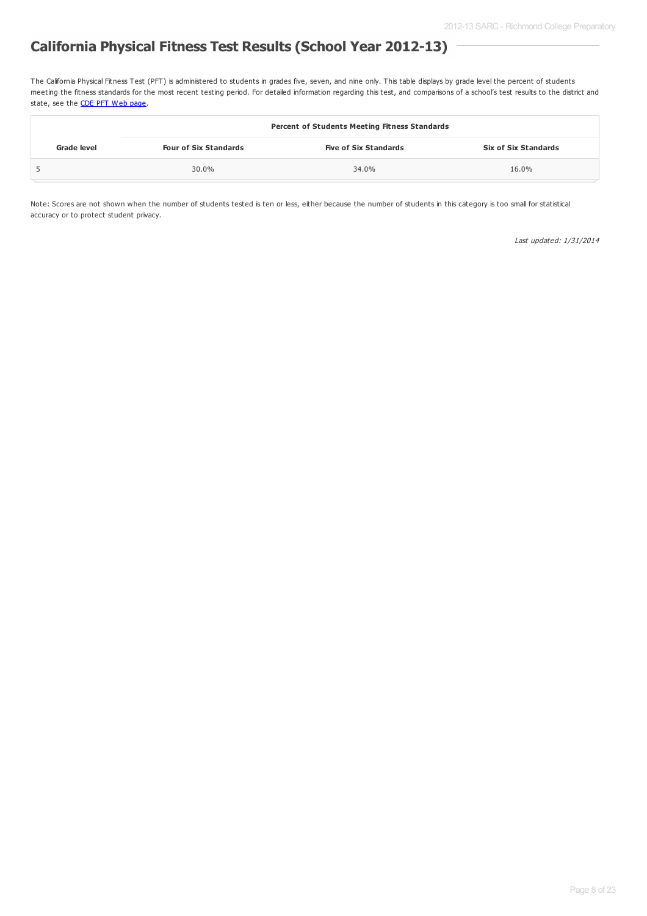### **California Physical Fitness Test Results (School Year 2012-13)**

The California Physical Fitness Test (PFT) is administered to students in grades five, seven, and nine only. This table displays by grade level the percent of students meeting the fitness standards for the most recent testing period. For detailed information regarding this test, and comparisons of a school's test results to the district and state, see the **CDE PFT [Web](http://www.cde.ca.gov/ta/tg/pf/) page**.

|             |                              | <b>Percent of Students Meeting Fitness Standards</b> |                             |
|-------------|------------------------------|------------------------------------------------------|-----------------------------|
| Grade level | <b>Four of Six Standards</b> | <b>Five of Six Standards</b>                         | <b>Six of Six Standards</b> |
|             | 30.0%                        | 34.0%                                                | 16.0%                       |

Note: Scores are not shown when the number of students tested is ten or less, either because the number of students in this category is too small for statistical accuracy or to protect student privacy.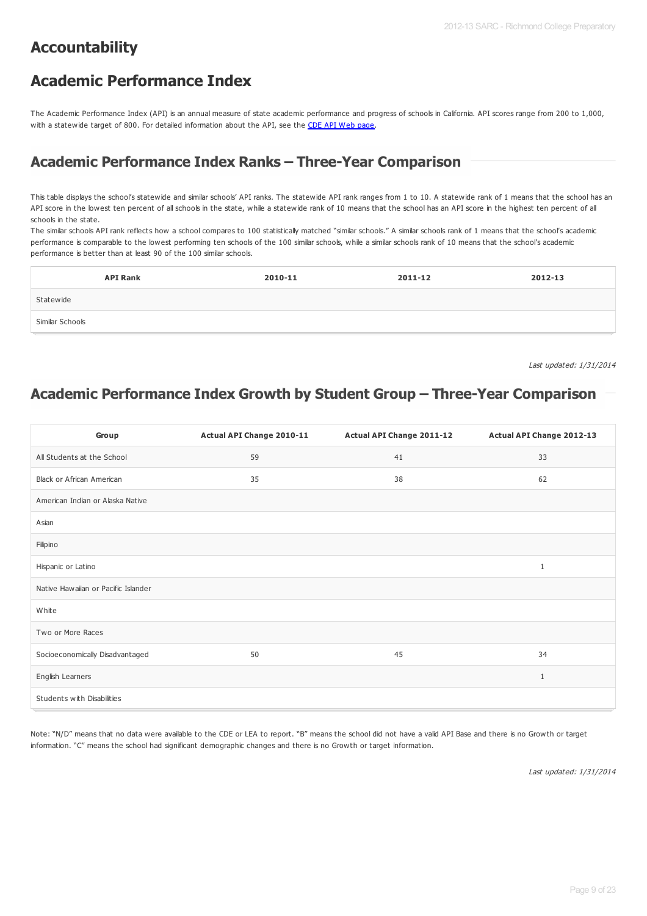### **Accountability**

### **Academic Performance Index**

The Academic Performance Index (API) is an annual measure of state academic performance and progress of schools in California. API scores range from 200 to 1,000, with a statewide target of 800. For detailed information about the API, see the CDE API Web [page](http://www.cde.ca.gov/ta/ac/ap/).

### **Academic Performance Index Ranks – Three-Year Comparison**

This table displays the school's statewide and similar schools' API ranks. The statewide API rank ranges from 1 to 10. A statewide rank of 1 means that the school has an API score in the lowest ten percent of all schools in the state, while a statewide rank of 10 means that the school has an API score in the highest ten percent of all schools in the state.

The similar schools API rank reflects how a school compares to 100 statistically matched "similar schools." A similar schools rank of 1 means that the school's academic performance is comparable to the lowest performing ten schools of the 100 similar schools, while a similar schools rank of 10 means that the school's academic performance is better than at least 90 of the 100 similar schools.

| <b>API Rank</b> | 2010-11 | 2011-12 | 2012-13 |
|-----------------|---------|---------|---------|
| Statewide       |         |         |         |
| Similar Schools |         |         |         |

Last updated: 1/31/2014

### **Academic Performance Index Growth by Student Group – Three-Year Comparison**

| Group                               | Actual API Change 2010-11 | Actual API Change 2011-12 | Actual API Change 2012-13 |
|-------------------------------------|---------------------------|---------------------------|---------------------------|
| All Students at the School          | 59                        | 41                        | 33                        |
| Black or African American           | 35                        | 38                        | 62                        |
| American Indian or Alaska Native    |                           |                           |                           |
| Asian                               |                           |                           |                           |
| Filipino                            |                           |                           |                           |
| Hispanic or Latino                  |                           |                           | $\mathbf{1}$              |
| Native Hawaiian or Pacific Islander |                           |                           |                           |
| White                               |                           |                           |                           |
| Two or More Races                   |                           |                           |                           |
| Socioeconomically Disadvantaged     | 50                        | 45                        | 34                        |
| English Learners                    |                           |                           | $\mathbf{1}$              |
| Students with Disabilities          |                           |                           |                           |

Note: "N/D" means that no data were available to the CDE or LEA to report. "B" means the school did not have a valid API Base and there is no Growth or target information. "C" means the school had significant demographic changes and there is no Growth or target information.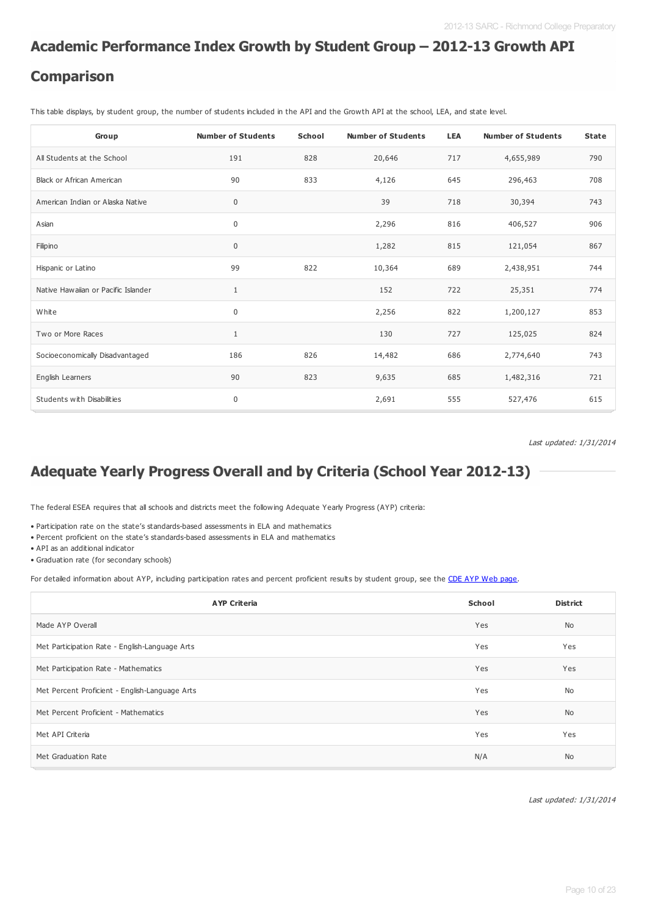#### **Academic Performance Index Growth by Student Group – 2012-13 Growth API**

#### **Comparison**

This table displays, by student group, the number of students included in the API and the Growth API at the school, LEA, and state level.

| Group                               | <b>Number of Students</b> | School | <b>Number of Students</b> | <b>LEA</b> | <b>Number of Students</b> | <b>State</b> |
|-------------------------------------|---------------------------|--------|---------------------------|------------|---------------------------|--------------|
| All Students at the School          | 191                       | 828    | 20,646                    | 717        | 4,655,989                 | 790          |
| <b>Black or African American</b>    | 90                        | 833    | 4,126                     | 645        | 296,463                   | 708          |
| American Indian or Alaska Native    | $\pmb{0}$                 |        | 39                        | 718        | 30,394                    | 743          |
| Asian                               | $\pmb{0}$                 |        | 2,296                     | 816        | 406,527                   | 906          |
| Filipino                            | $\pmb{0}$                 |        | 1,282                     | 815        | 121,054                   | 867          |
| Hispanic or Latino                  | 99                        | 822    | 10,364                    | 689        | 2,438,951                 | 744          |
| Native Hawaiian or Pacific Islander | $\mathbf{1}$              |        | 152                       | 722        | 25,351                    | 774          |
| White                               | $\pmb{0}$                 |        | 2,256                     | 822        | 1,200,127                 | 853          |
| Two or More Races                   | $\mathbf{1}$              |        | 130                       | 727        | 125,025                   | 824          |
| Socioeconomically Disadvantaged     | 186                       | 826    | 14,482                    | 686        | 2,774,640                 | 743          |
| English Learners                    | 90                        | 823    | 9,635                     | 685        | 1,482,316                 | 721          |
| Students with Disabilities          | $\pmb{0}$                 |        | 2,691                     | 555        | 527,476                   | 615          |

Last updated: 1/31/2014

### **Adequate Yearly Progress Overall and by Criteria (School Year 2012-13)**

The federal ESEA requires that all schools and districts meet the following Adequate Yearly Progress (AYP) criteria:

• Participation rate on the state's standards-based assessments in ELA and mathematics

• Percent proficient on the state's standards-based assessments in ELA and mathematics

• API as an additional indicator

• Graduation rate (for secondary schools)

For detailed information about AYP, including participation rates and percent proficient results by student group, see the CDE AYP Web [page](http://www.cde.ca.gov/ta/ac/ay/).

| <b>AYP Criteria</b>                            | School | <b>District</b> |
|------------------------------------------------|--------|-----------------|
| Made AYP Overall                               | Yes    | <b>No</b>       |
| Met Participation Rate - English-Language Arts | Yes    | Yes             |
| Met Participation Rate - Mathematics           | Yes    | Yes             |
| Met Percent Proficient - English-Language Arts | Yes    | No              |
| Met Percent Proficient - Mathematics           | Yes    | <b>No</b>       |
| Met API Criteria                               | Yes    | Yes             |
| Met Graduation Rate                            | N/A    | <b>No</b>       |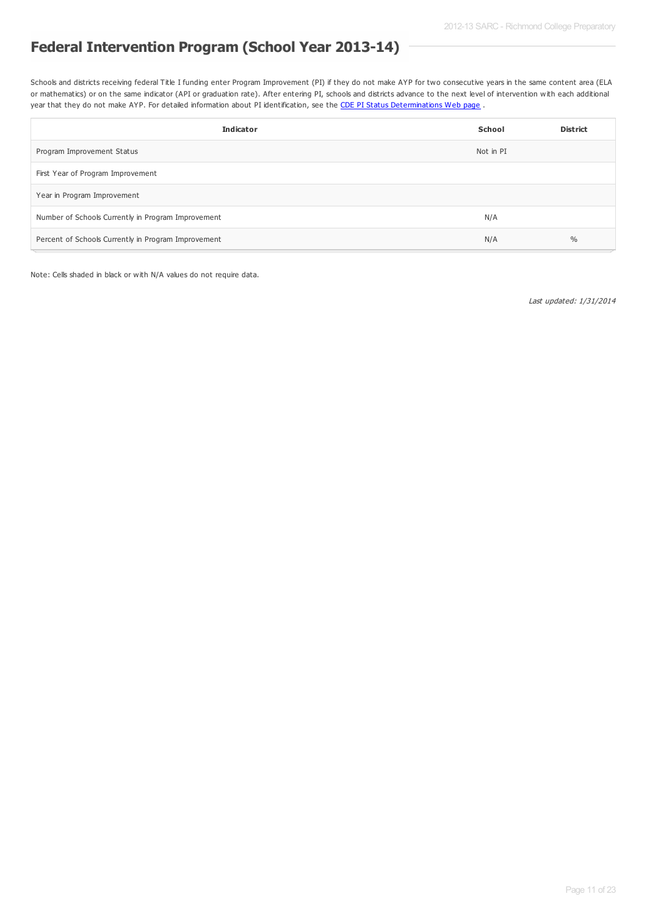### **Federal Intervention Program (School Year 2013-14)**

Schools and districts receiving federal Title I funding enter Program Improvement (PI) if they do not make AYP for two consecutive years in the same content area (ELA or mathematics) or on the same indicator (API or graduation rate). After entering PI, schools and districts advance to the next level of intervention with each additional year that they do not make AYP. For detailed information about PI identification, see the CDE PI Status [Determinations](http://www.cde.ca.gov/ta/ac/ay/tidetermine.asp) Web page.

| <b>Indicator</b>                                    | School    | <b>District</b> |
|-----------------------------------------------------|-----------|-----------------|
| Program Improvement Status                          | Not in PI |                 |
| First Year of Program Improvement                   |           |                 |
| Year in Program Improvement                         |           |                 |
| Number of Schools Currently in Program Improvement  | N/A       |                 |
| Percent of Schools Currently in Program Improvement | N/A       | $\%$            |

Note: Cells shaded in black or with N/A values do not require data.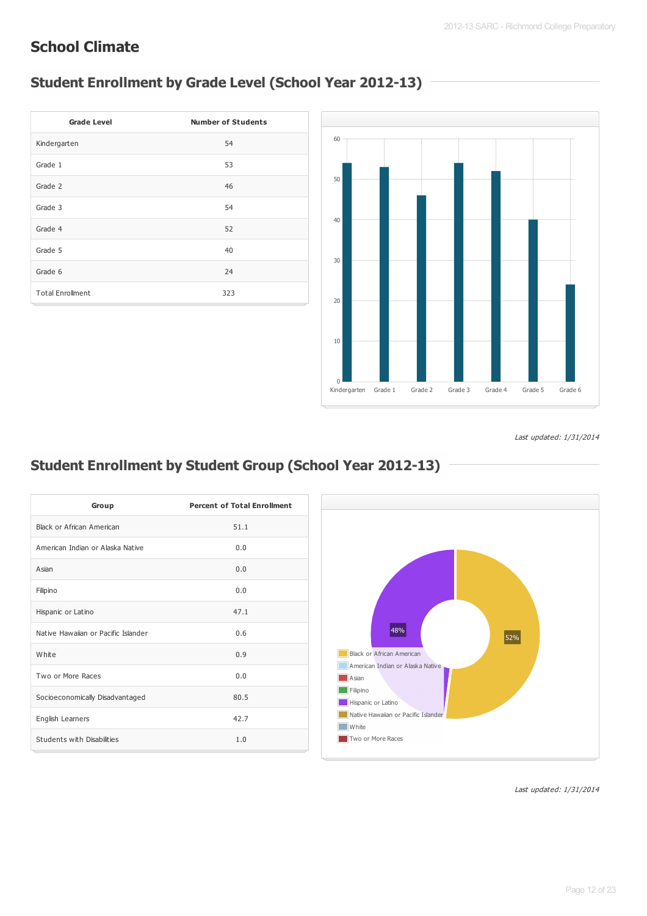### **School Climate**

# **Student Enrollment by Grade Level (School Year 2012-13)**

| <b>Grade Level</b>      | <b>Number of Students</b> |
|-------------------------|---------------------------|
| Kindergarten            | 54                        |
| Grade 1                 | 53                        |
| Grade 2                 | 46                        |
| Grade 3                 | 54                        |
| Grade 4                 | 52                        |
| Grade 5                 | 40                        |
| Grade 6                 | 24                        |
| <b>Total Enrollment</b> | 323                       |



Last updated: 1/31/2014

# **Student Enrollment by Student Group (School Year 2012-13)**

| Group                               | <b>Percent of Total Enrollment</b> |
|-------------------------------------|------------------------------------|
| Black or African American           | 51.1                               |
| American Indian or Alaska Native    | 0.0                                |
| Asian                               | 0.0                                |
| Filipino                            | 0.0                                |
| Hispanic or Latino                  | 47.1                               |
| Native Hawaiian or Pacific Islander | 0.6                                |
| White                               | 0.9                                |
| Two or More Races                   | 0.0                                |
| Socioeconomically Disadvantaged     | 80.5                               |
| English Learners                    | 42.7                               |
| Students with Disabilities          | 1.0                                |

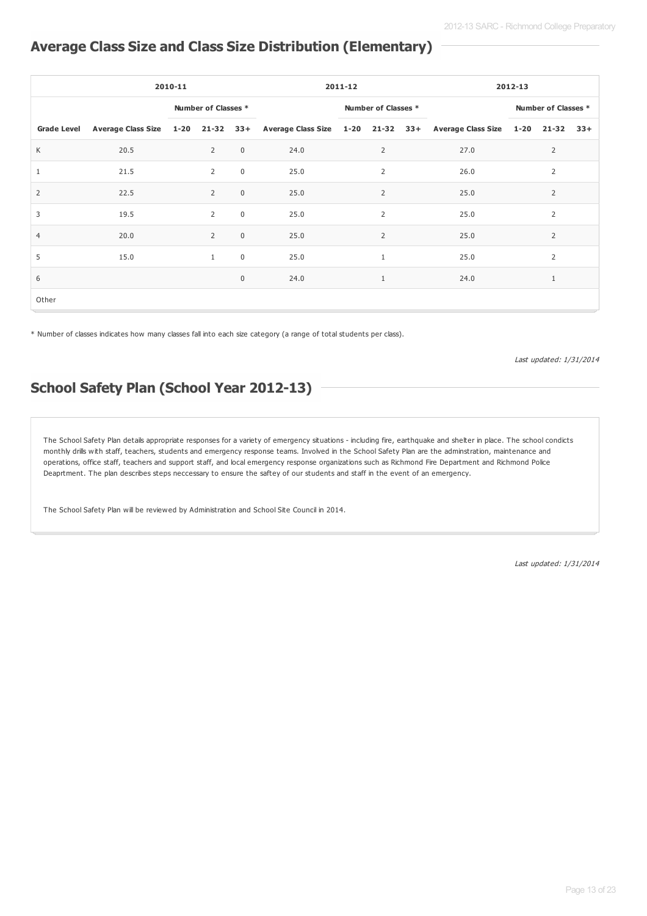#### **Average Class Size and Class Size Distribution (Elementary)**

|                    | 2010-11 |  |                     |              | $2011 - 12$                                                                                       |                     |                |  | $2012 - 13$         |  |                |       |
|--------------------|---------|--|---------------------|--------------|---------------------------------------------------------------------------------------------------|---------------------|----------------|--|---------------------|--|----------------|-------|
|                    |         |  | Number of Classes * |              |                                                                                                   | Number of Classes * |                |  | Number of Classes * |  |                |       |
| <b>Grade Level</b> |         |  |                     |              | Average Class Size 1-20 21-32 33+ Average Class Size 1-20 21-32 33+ Average Class Size 1-20 21-32 |                     |                |  |                     |  |                | $33+$ |
| K                  | 20.5    |  | $\overline{2}$      | $\mathbf 0$  | 24.0                                                                                              |                     | $\overline{2}$ |  | 27.0                |  | $\overline{2}$ |       |
| 1                  | 21.5    |  | $\overline{2}$      | $\mathbf 0$  | 25.0                                                                                              |                     | $\overline{2}$ |  | 26.0                |  | 2              |       |
| 2                  | 22.5    |  | $\overline{2}$      | $\mathbf 0$  | 25.0                                                                                              |                     | 2              |  | 25.0                |  | $\overline{2}$ |       |
| 3                  | 19.5    |  | $\overline{2}$      | $\mathbf 0$  | 25.0                                                                                              |                     | $\overline{2}$ |  | 25.0                |  | $\overline{2}$ |       |
| $\overline{4}$     | 20.0    |  | $\overline{2}$      | $\mathbf{0}$ | 25.0                                                                                              |                     | $\overline{2}$ |  | 25.0                |  | 2              |       |
| 5                  | 15.0    |  | $\mathbf{1}$        | $\mathbf 0$  | 25.0                                                                                              |                     | $\mathbf{1}$   |  | 25.0                |  | 2              |       |
| 6                  |         |  |                     | $\mathbf 0$  | 24.0                                                                                              |                     | $\mathbf{1}$   |  | 24.0                |  | $\mathbf{1}$   |       |
| Other              |         |  |                     |              |                                                                                                   |                     |                |  |                     |  |                |       |

\* Number of classes indicates how many classes fall into each size category (a range of total students per class).

Last updated: 1/31/2014

### **School Safety Plan (School Year 2012-13)**

The School Safety Plan details appropriate responses for a variety of emergency situations - including fire, earthquake and shelter in place. The school condicts monthly drills with staff, teachers, students and emergency response teams. Involved in the School Safety Plan are the adminstration, maintenance and operations, office staff, teachers and support staff, and local emergency response organizations such as Richmond Fire Department and Richmond Police Deaprtment. The plan describes steps neccessary to ensure the saftey of our students and staff in the event of an emergency.

The School Safety Plan will be reviewed by Administration and School Site Council in 2014.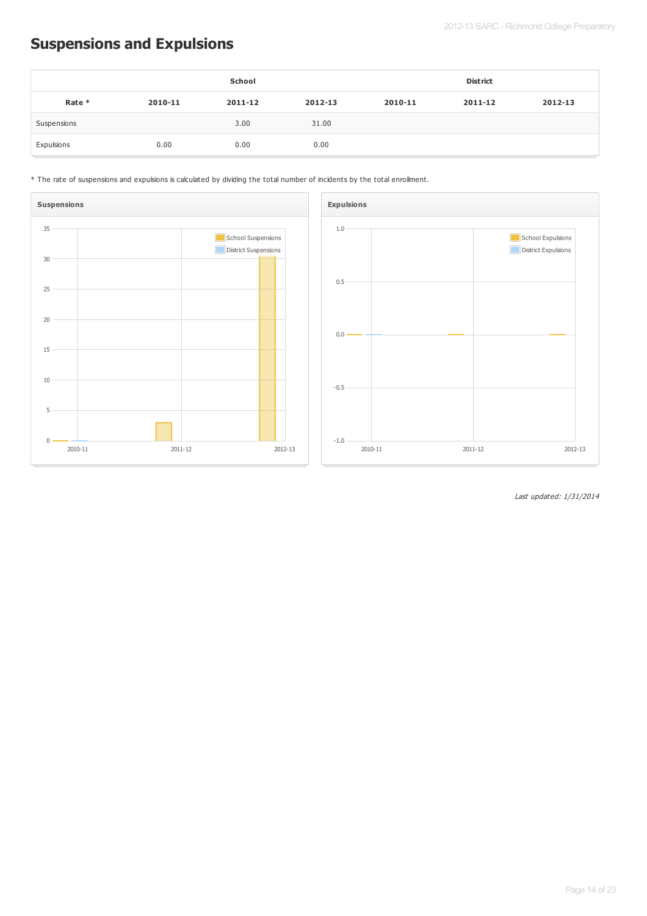# **Suspensions and Expulsions**

|             |         | School  |         |         | <b>District</b> |         |
|-------------|---------|---------|---------|---------|-----------------|---------|
| Rate *      | 2010-11 | 2011-12 | 2012-13 | 2010-11 | 2011-12         | 2012-13 |
| Suspensions |         | 3.00    | 31.00   |         |                 |         |
| Expulsions  | 0.00    | 0.00    | 0.00    |         |                 |         |





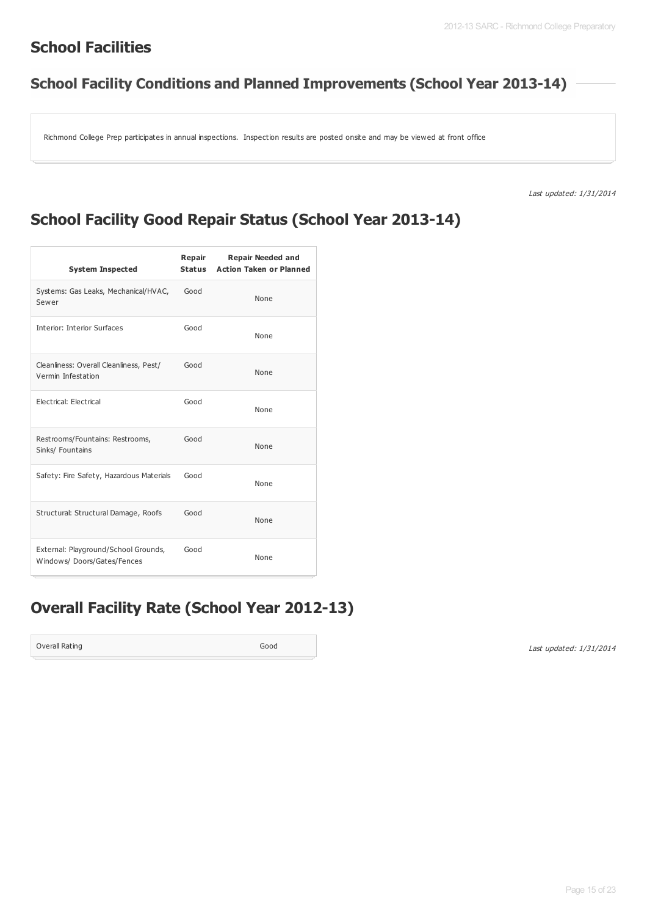### **School Facilities**

### **School Facility Conditions and Planned Improvements (School Year 2013-14)**

Richmond College Prep participates in annual inspections. Inspection results are posted onsite and may be viewed at front office

Last updated: 1/31/2014

### **School Facility Good Repair Status (School Year 2013-14)**

| <b>System Inspected</b>                                            | Repair<br><b>Status</b> | <b>Repair Needed and</b><br><b>Action Taken or Planned</b> |
|--------------------------------------------------------------------|-------------------------|------------------------------------------------------------|
| Systems: Gas Leaks, Mechanical/HVAC,<br>Sewer                      | Good                    | None                                                       |
| Interior: Interior Surfaces                                        | Good                    | None                                                       |
| Cleanliness: Overall Cleanliness, Pest/<br>Vermin Infestation      | Good                    | None                                                       |
| Electrical: Electrical                                             | Good                    | None                                                       |
| Restrooms/Fountains: Restrooms,<br>Sinks/ Fountains                | Good                    | None                                                       |
| Safety: Fire Safety, Hazardous Materials                           | Good                    | None                                                       |
| Structural: Structural Damage, Roofs                               | Good                    | None                                                       |
| External: Playground/School Grounds,<br>Windows/Doors/Gates/Fences | Good                    | None                                                       |

### **Overall Facility Rate (School Year 2012-13)**

Overall Rating Good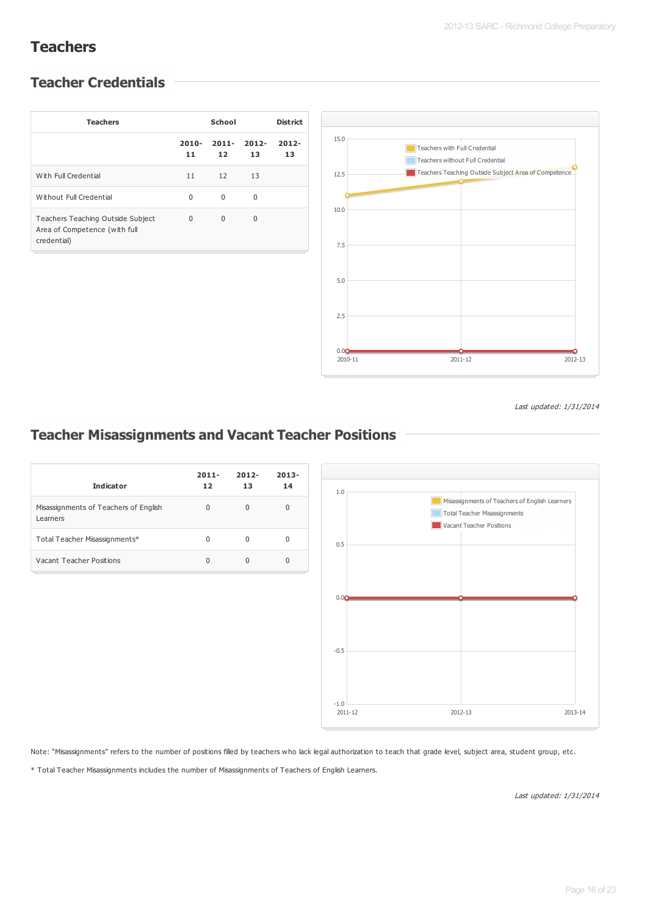### **Teachers**

#### **Teacher Credentials**

| <b>Teachers</b>                                                                   |                | <b>District</b> |                |                |
|-----------------------------------------------------------------------------------|----------------|-----------------|----------------|----------------|
|                                                                                   | $2010 -$<br>11 | $2011 -$<br>12  | $2012 -$<br>13 | $2012 -$<br>13 |
| With Full Credential                                                              | 11             | 12              | 13             |                |
| Without Full Credential                                                           | $\Omega$       | $\Omega$        | $\Omega$       |                |
| Teachers Teaching Outside Subject<br>Area of Competence (with full<br>credential) | $\Omega$       | $\Omega$        | $\Omega$       |                |



Last updated: 1/31/2014

#### **Teacher Misassignments and Vacant Teacher Positions**

| <b>Indicator</b>                                  | $2011 -$<br>12 | $2012 -$<br>13 | $2013 -$<br>14 |
|---------------------------------------------------|----------------|----------------|----------------|
| Misassignments of Teachers of English<br>Learners | $\Omega$       | <sup>0</sup>   | $\Omega$       |
| Total Teacher Misassignments*                     | 0              |                | 0              |
| Vacant Teacher Positions                          | U              | U              | 0              |



Note: "Misassignments" refers to the number of positions filled by teachers who lack legal authorization to teach that grade level, subject area, student group, etc.

\* Total Teacher Misassignments includes the number of Misassignments of Teachers of English Learners.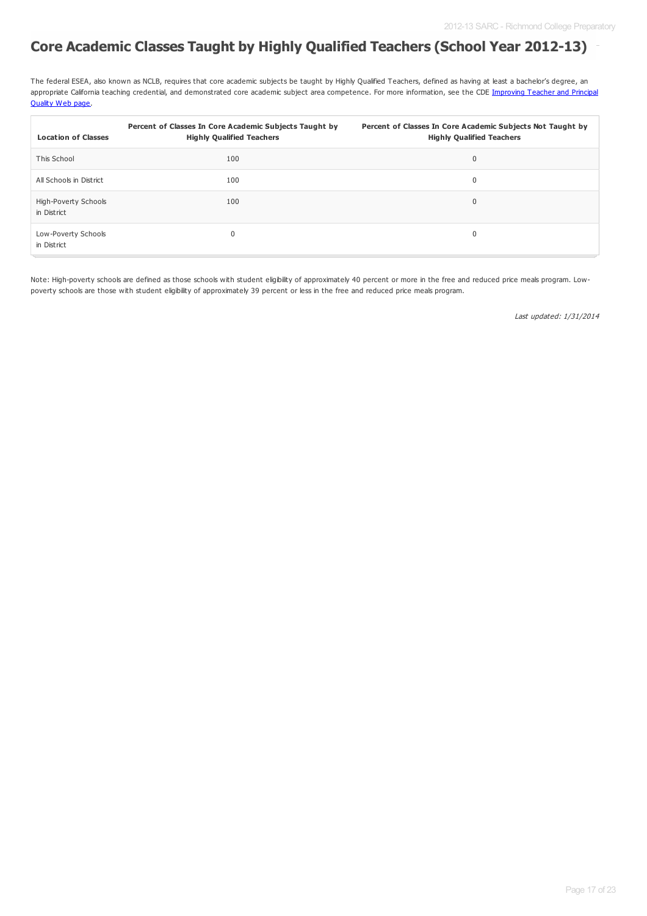### **Core Academic Classes Taught by Highly Qualified Teachers (School Year 2012-13)**

The federal ESEA, also known as NCLB, requires that core academic subjects be taught by Highly Qualified Teachers, defined as having at least a bachelor's degree, an appropriate California teaching credential, and [demonstrated](http://www.cde.ca.gov/nclb/sr/tq/) core academic subject area competence. For more information, see the CDE Improving Teacher and Principal Quality Web page.

| <b>Location of Classes</b>          | Percent of Classes In Core Academic Subjects Taught by<br><b>Highly Qualified Teachers</b> | Percent of Classes In Core Academic Subjects Not Taught by<br><b>Highly Qualified Teachers</b> |
|-------------------------------------|--------------------------------------------------------------------------------------------|------------------------------------------------------------------------------------------------|
| This School                         | 100                                                                                        | $\mathbf 0$                                                                                    |
| All Schools in District             | 100                                                                                        | 0                                                                                              |
| High-Poverty Schools<br>in District | 100                                                                                        | $\mathbf 0$                                                                                    |
| Low-Poverty Schools<br>in District  | $\mathbf{0}$                                                                               | $\mathbf 0$                                                                                    |

Note: High-poverty schools are defined as those schools with student eligibility of approximately 40 percent or more in the free and reduced price meals program. Lowpoverty schools are those with student eligibility of approximately 39 percent or less in the free and reduced price meals program.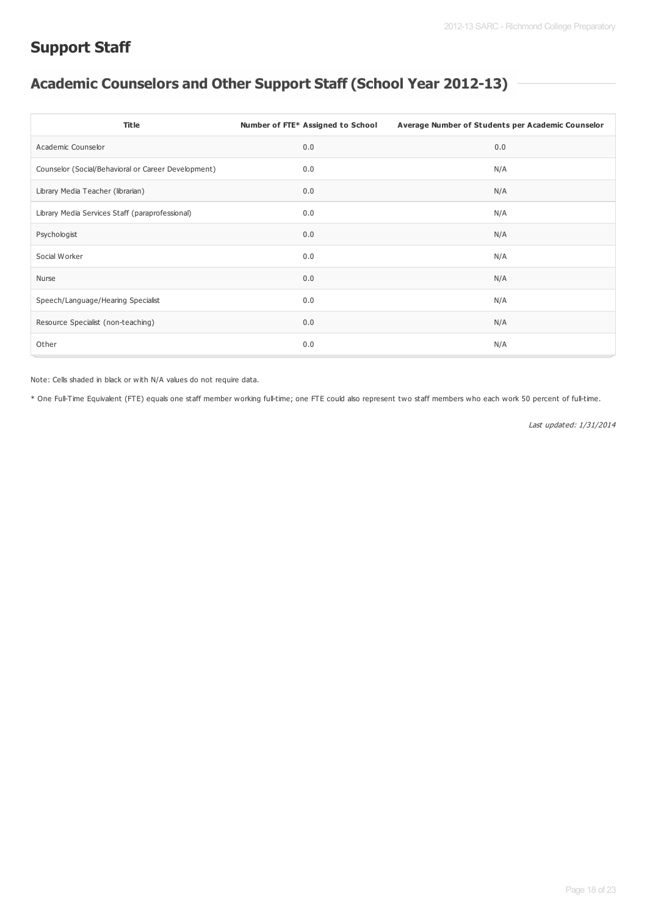### **Support Staff**

# **Academic Counselors and Other Support Staff (School Year 2012-13)**

| <b>Title</b>                                        | Number of FTE* Assigned to School | Average Number of Students per Academic Counselor |
|-----------------------------------------------------|-----------------------------------|---------------------------------------------------|
| Academic Counselor                                  | 0.0                               | 0.0                                               |
| Counselor (Social/Behavioral or Career Development) | 0.0                               | N/A                                               |
| Library Media Teacher (librarian)                   | 0.0                               | N/A                                               |
| Library Media Services Staff (paraprofessional)     | 0.0                               | N/A                                               |
| Psychologist                                        | 0.0                               | N/A                                               |
| Social Worker                                       | 0.0                               | N/A                                               |
| Nurse                                               | 0.0                               | N/A                                               |
| Speech/Language/Hearing Specialist                  | 0.0                               | N/A                                               |
| Resource Specialist (non-teaching)                  | 0.0                               | N/A                                               |
| Other                                               | 0.0                               | N/A                                               |

Note: Cells shaded in black or with N/A values do not require data.

\* One Full-Time Equivalent (FTE) equals one staff member working full-time; one FTE could also represent two staff members who each work 50 percent of full-time.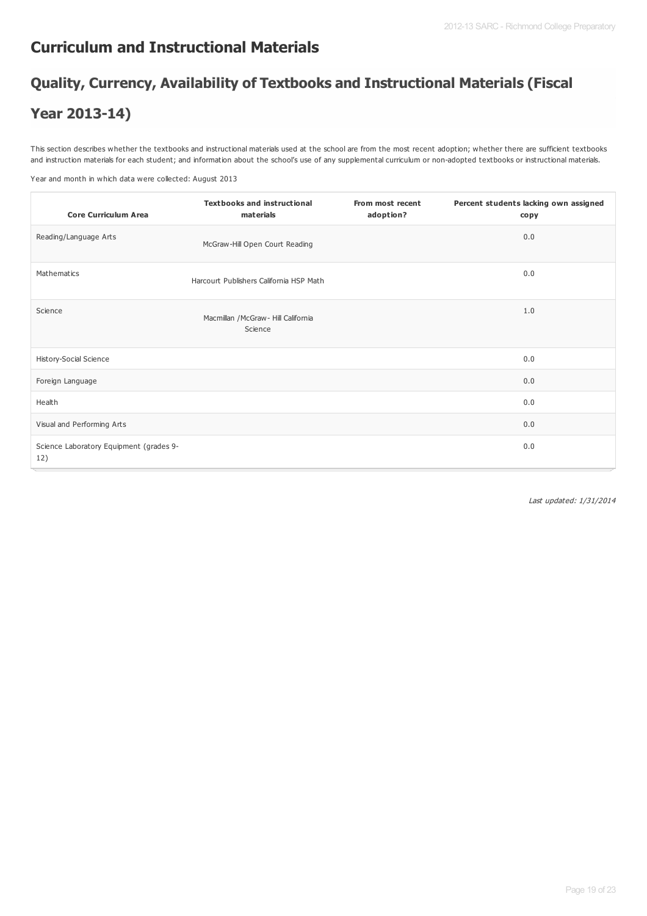### **Curriculum and Instructional Materials**

# **Quality, Currency, Availability of Textbooks and Instructional Materials (Fiscal**

### **Year 2013-14)**

This section describes whether the textbooks and instructional materials used at the school are from the most recent adoption; whether there are sufficient textbooks and instruction materials for each student; and information about the school's use of any supplemental curriculum or non-adopted textbooks or instructional materials.

Year and month in which data were collected: August 2013

| <b>Core Curriculum Area</b>                    | <b>Textbooks and instructional</b><br>materials | From most recent<br>adoption? | Percent students lacking own assigned<br>copy |
|------------------------------------------------|-------------------------------------------------|-------------------------------|-----------------------------------------------|
| Reading/Language Arts                          | McGraw-Hill Open Court Reading                  |                               | 0.0                                           |
| Mathematics                                    | Harcourt Publishers California HSP Math         |                               | 0.0                                           |
| Science                                        | Macmillan / McGraw - Hill California<br>Science |                               | 1.0                                           |
| History-Social Science                         |                                                 |                               | 0.0                                           |
| Foreign Language                               |                                                 |                               | 0.0                                           |
| Health                                         |                                                 |                               | 0.0                                           |
| Visual and Performing Arts                     |                                                 |                               | 0.0                                           |
| Science Laboratory Equipment (grades 9-<br>12) |                                                 |                               | 0.0                                           |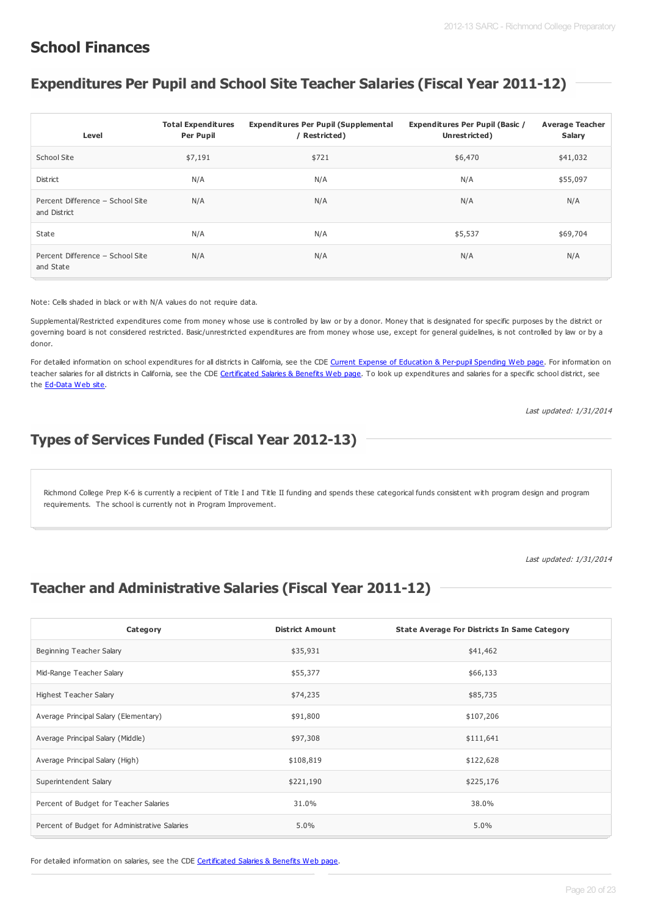### **School Finances**

### **Expenditures Per Pupil and School Site Teacher Salaries (Fiscal Year 2011-12)**

| Level                                            | <b>Total Expenditures</b><br><b>Per Pupil</b> | <b>Expenditures Per Pupil (Supplemental</b><br>/ Restricted) | <b>Expenditures Per Pupil (Basic /</b><br>Unrestricted) | <b>Average Teacher</b><br>Salary |
|--------------------------------------------------|-----------------------------------------------|--------------------------------------------------------------|---------------------------------------------------------|----------------------------------|
| School Site                                      | \$7,191                                       | \$721                                                        | \$6,470                                                 | \$41,032                         |
| District                                         | N/A                                           | N/A                                                          | N/A                                                     | \$55,097                         |
| Percent Difference - School Site<br>and District | N/A                                           | N/A                                                          | N/A                                                     | N/A                              |
| State                                            | N/A                                           | N/A                                                          | \$5,537                                                 | \$69,704                         |
| Percent Difference - School Site<br>and State    | N/A                                           | N/A                                                          | N/A                                                     | N/A                              |

Note: Cells shaded in black or with N/A values do not require data.

Supplemental/Restricted expenditures come from money whose use is controlled by law or by a donor. Money that is designated for specific purposes by the district or governing board is not considered restricted. Basic/unrestricted expenditures are from money whose use, except for general guidelines, is not controlled by law or by a donor.

For detailed information on school expenditures for all districts in California, see the CDE Current Expense of [Education](http://www.cde.ca.gov/ds/fd/ec/) & Per-pupil Spending Web page. For information on teacher salaries for all districts in California, see the CDE [Certificated](http://www.cde.ca.gov/ds/fd/cs/) Salaries & Benefits Web page. To look up expenditures and salaries for a specific school district, see the [Ed-Data](http://www.ed-data.org) Web site.

Last updated: 1/31/2014

### **Types of Services Funded (Fiscal Year 2012-13)**

Richmond College Prep K-6 is currently a recipient of Title I and Title II funding and spends these categorical funds consistent with program design and program requirements. The school is currently not in Program Improvement.

Last updated: 1/31/2014

### **Teacher and Administrative Salaries (Fiscal Year 2011-12)**

| Category                                      | <b>District Amount</b> | <b>State Average For Districts In Same Category</b> |
|-----------------------------------------------|------------------------|-----------------------------------------------------|
| Beginning Teacher Salary                      | \$35,931               | \$41,462                                            |
| Mid-Range Teacher Salary                      | \$55,377               | \$66,133                                            |
| Highest Teacher Salary                        | \$74,235               | \$85,735                                            |
| Average Principal Salary (Elementary)         | \$91,800               | \$107,206                                           |
| Average Principal Salary (Middle)             | \$97,308               | \$111,641                                           |
| Average Principal Salary (High)               | \$108,819              | \$122,628                                           |
| Superintendent Salary                         | \$221,190              | \$225,176                                           |
| Percent of Budget for Teacher Salaries        | 31.0%                  | 38.0%                                               |
| Percent of Budget for Administrative Salaries | 5.0%                   | 5.0%                                                |

For detailed information on salaries, see the CDE [Certificated](http://www.cde.ca.gov/ds/fd/cs/) Salaries & Benefits Web page.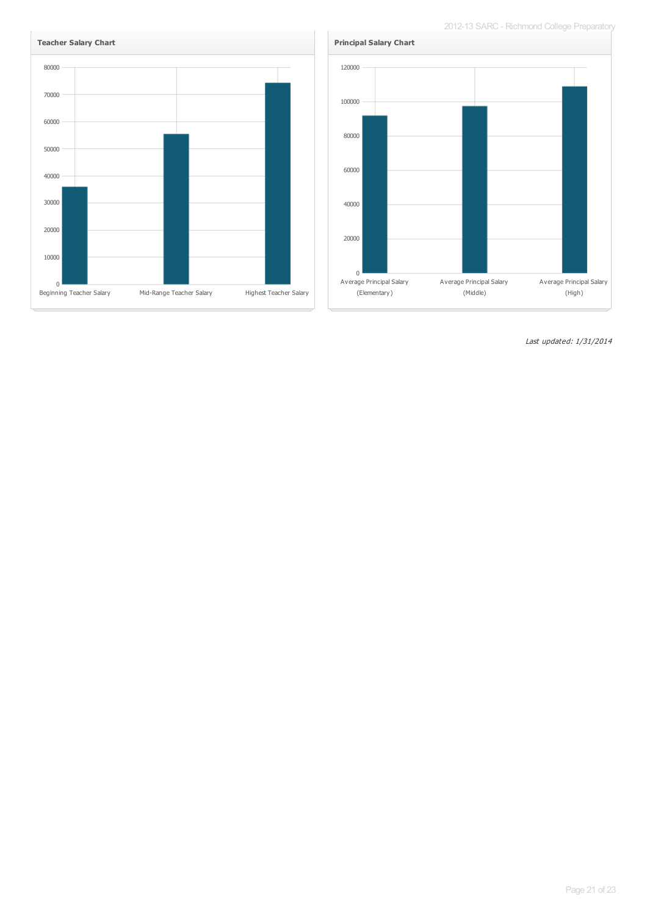2012-13 SARC - Richmond College Preparatory



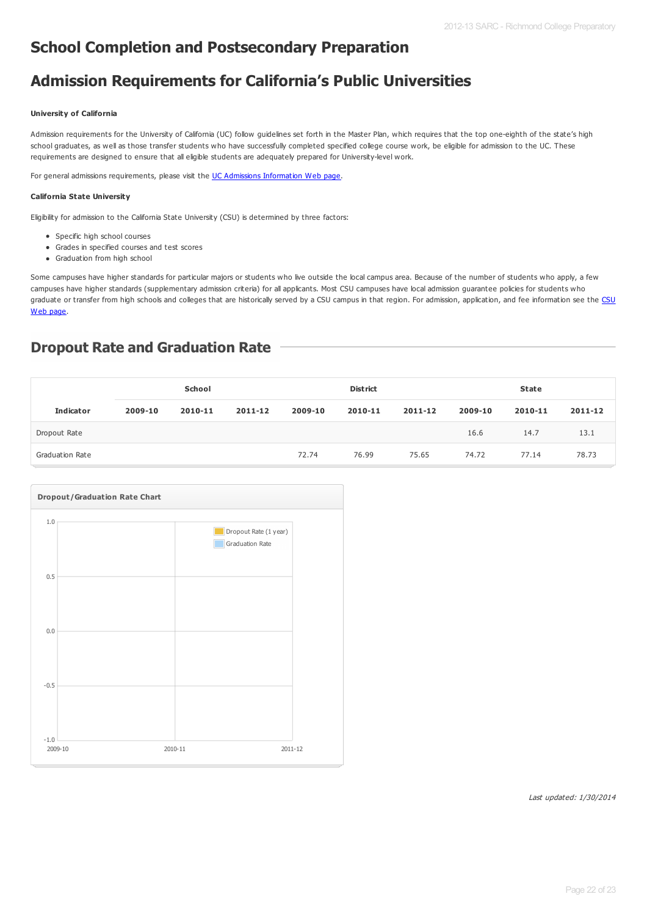### **School Completion and Postsecondary Preparation**

### **Admission Requirements for California's Public Universities**

#### **University of California**

Admission requirements for the University of California (UC) follow guidelines set forth in the Master Plan, which requires that the top one-eighth of the state's high school graduates, as well as those transfer students who have successfully completed specified college course work, be eligible for admission to the UC. These requirements are designed to ensure that all eligible students are adequately prepared for University-level work.

For general admissions requirements, please visit the UC Admissions [Information](http://www.universityofcalifornia.edu/admissions/) Web page.

#### **California State University**

Eligibility for admission to the California State University (CSU) is determined by three factors:

- Specific high school courses
- Grades in specified courses and test scores
- Graduation from high school

Some campuses have higher standards for particular majors or students who live outside the local campus area. Because of the number of students who apply, a few campuses have higher standards (supplementary admission criteria) for all applicants. Most CSU campuses have local admission guarantee policies for students who graduate or transfer from high schools and colleges that are historically served by a CSU campus in that region. For admission, [application,](http://www.calstate.edu/admission/admission.shtml) and fee information see the CSU Web page.

#### **Dropout Rate and Graduation Rate**

|                        |         | School  |         |         | <b>District</b> |         |         | <b>State</b> |         |
|------------------------|---------|---------|---------|---------|-----------------|---------|---------|--------------|---------|
| <b>Indicator</b>       | 2009-10 | 2010-11 | 2011-12 | 2009-10 | 2010-11         | 2011-12 | 2009-10 | 2010-11      | 2011-12 |
| Dropout Rate           |         |         |         |         |                 |         | 16.6    | 14.7         | 13.1    |
| <b>Graduation Rate</b> |         |         |         | 72.74   | 76.99           | 75.65   | 74.72   | 77.14        | 78.73   |